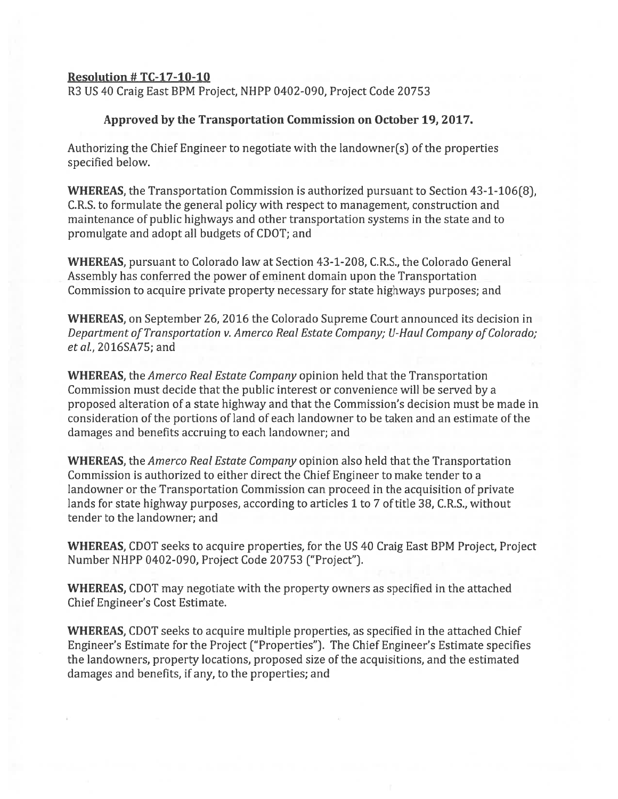## Resolution # TC-17-1O-1O

R3 US 40 Craig East 5PM Project, NHPP 0402-090, Project Code 20753

## Approved by the Transportation Commission on October 19, 2O17

Authorizing the Chief Engineer to negotiate with the landowner(s) of the properties specified below.

WHEREAS, the Transportation Commission is authorized pursuan<sup>t</sup> to Section 43-1-106(8), C.R.S. to formulate the general policy with respec<sup>t</sup> to management, construction and maintenance of public highways and other transportation systems in the state and to promulgate and adopt all budgets of CDOT; and

WHEREAS, pursuan<sup>t</sup> to Colorado law at Section 43-1-208, C.RS., the Colorado General Assembly has conferred the power of eminent domain upon the Transportation Commission to acquire private property necessary for state highways purposes; and

WHEREAS, on September 26, 2016 the Colorado Supreme Court announced its decision in Department of Transportation v. Amerco Real Estate Company; U-Haul Company of Colorado; et aL, 2016SA75; and

WHEREAS, the *Amerco Real Estate Company* opinion held that the Transportation Commission must decide that the public interest or convenience will be served by <sup>a</sup> proposed alteration of <sup>a</sup> state highway and that the Commission's decision must be made in consideration of the portions of land of each landowner to be taken and an estimate of the damages and benefits accruing to each landowner; and

WHEREAS, the *Amerco Real Estate Company* opinion also held that the Transportation Commission is authorized to either direct the Chief Engineer to make tender to <sup>a</sup> landowner or the Transportation Commission can proceed in the acquisition of private lands for state highway purposes, according to articles 1 to 7 of title 38, C.R.S., without tender to the landowner; and

WHEREAS, CDOT seeks to acquire properties, for the US 40 Craig East BPM Project, Project Number NHPP 0402-090, Project Code 20753 ("Project").

WHEREAS, CDOT may negotiate with the property owners as specified in the attached Chief Engineer's Cost Estimate.

WHEREAS, CDOT seeks to acquire multiple properties, as specified in the attached Chief Engineer's Estimate for the Project ("Properties"). The Chief Engineer's Estimate specifies the landowners, property locations, proposed size of the acquisitions, and the estimated damages and benefits, if any, to the properties; and